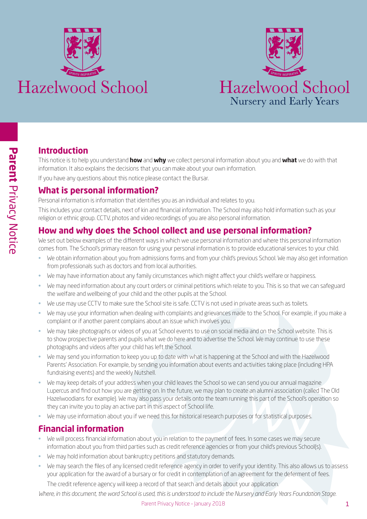



# **Introduction**

This notice is to help you understand **how** and **why** we collect personal information about you and **what** we do with that information. It also explains the decisions that you can make about your own information.

If you have any questions about this notice please contact the Bursar.

# **What is personal information?**

Personal information is information that identifies you as an individual and relates to you.

This includes your contact details, next of kin and financial information. The School may also hold information such as your religion or ethnic group. CCTV, photos and video recordings of you are also personal information.

# **How and why does the School collect and use personal information?**

We set out below examples of the different ways in which we use personal information and where this personal information comes from. The School's primary reason for using your personal information is to provide educational services to your child.

- We obtain information about you from admissions forms and from your child's previous School. We may also get information from professionals such as doctors and from local authorities.
- We may have information about any family circumstances which might affect your child's welfare or happiness.
- We may need information about any court orders or criminal petitions which relate to you. This is so that we can safeguard the welfare and wellbeing of your child and the other pupils at the School.
- We use may use CCTV to make sure the School site is safe. CCTV is not used in private areas such as toilets.
- We may use your information when dealing with complaints and grievances made to the School. For example, if you make a complaint or if another parent complains about an issue which involves you.
- We may take photographs or videos of you at School events to use on social media and on the School website. This is to show prospective parents and pupils what we do here and to advertise the School. We may continue to use these photographs and videos after your child has left the School.
- We may send you information to keep you up to date with what is happening at the School and with the Hazelwood Parents' Association. For example, by sending you information about events and activities taking place (including HPA fundraising events) and the weekly Nutshell.
- We may keep details of your address when your child leaves the School so we can send you our annual magazine Lupercus and find out how you are getting on. In the future, we may plan to create an alumni association (called The Old Hazelwoodians for example). We may also pass your details onto the team running this part of the School's operation so they can invite you to play an active part in this aspect of School life.
- We may use information about you if we need this for historical research purposes or for statistical purposes.

# **Financial information**

- We will process financial information about you in relation to the payment of fees. In some cases we may secure information about you from third parties such as credit reference agencies or from your child's previous School(s).
- We may hold information about bankruptcy petitions and statutory demands.
- We may search the files of any licensed credit reference agency in order to verify your identity. This also allows us to assess your application for the award of a bursary or for credit in contemplation of an agreement for the deferment of fees.

The credit reference agency will keep a record of that search and details about your application.

*Where, in this document, the word School is used, this is understood to include the Nursery and Early Years Foundation Stage.*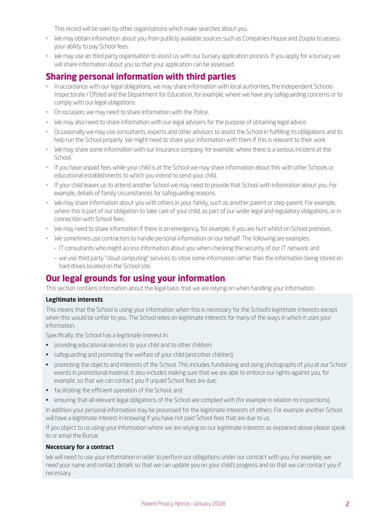This record will be seen by other organisations which make searches about you.

- We may obtain information about you from publicly available sources such as Companies House and Zoopla to assess your ability to pay School fees.
- We may use an third party organisation to assist us with our bursary application process. If you apply for a bursary we will share information about you so that your application can be assessed.

### **Sharing personal information with third parties**

- In accordance with our legal obligations, we may share information with local authorities, the Independent Schools Inspectorate / Ofsted and the Department for Education, for example, where we have any safeguarding concerns or to comply with our legal obligations.
- On occasion, we may need to share information with the Police.
- We may also need to share information with our legal advisers for the purpose of obtaining legal advice.
- Occasionally we may use consultants, experts and other advisors to assist the School in fulfilling its obligations and to help run the School properly. We might need to share your information with them if this is relevant to their work.
- We may share some information with our insurance company, for example, where there is a serious incident at the School.
- If you have unpaid fees while your child is at the School we may share information about this with other Schools or educational establishments to which you intend to send your child.
- If your child leaves us to attend another School we may need to provide that School with information about you. For example, details of family circumstances for safeguarding reasons.
- We may share information about you with others in your family, such as another parent or step-parent. For example, where this is part of our obligation to take care of your child, as part of our wider legal and regulatory obligations, or in connection with School fees.
- We may need to share information if there is an emergency, for example, if you are hurt whilst on School premises.
- We sometimes use contractors to handle personal information on our behalf. The following are examples:
	- IT consultants who might access information about you when checking the security of our IT network; and
	- we use third party "cloud computing" services to store some information rather than the information being stored on hard drives located on the School site.

### **Our legal grounds for using your information**

This section contains information about the legal basis that we are relying on when handling your information.

#### **Legitimate interests**

This means that the School is using your information when this is necessary for the School's legitimate interests except when this would be unfair to you. The School relies on legitimate interests for many of the ways in which it uses your information.

Specifically, the School has a legitimate interest in:

- providing educational services to your child and to other children;
- safeguarding and promoting the welfare of your child (and other children);
- promoting the objects and interests of the School. This includes fundraising and using photographs of you at our School events in promotional material. It also includes making sure that we are able to enforce our rights against you, for example, so that we can contact you if unpaid School fees are due;
- facilitating the efficient operation of the School; and
- ensuring that all relevant legal obligations of the School are complied with (for example in relation to inspections).

In addition your personal information may be processed for the legitimate interests of others. For example another School will have a legitimate interest in knowing if you have not paid School fees that are due to us.

If you object to us using your information where we are relying on our legitimate interests as explained above please speak to or email the Bursar.

#### **Necessary for a contract**

We will need to use your information in order to perform our obligations under our contract with you. For example, we need your name and contact details so that we can update you on your child's progress and so that we can contact you if necessary.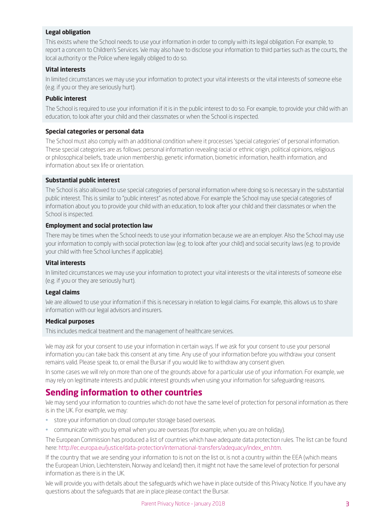#### **Legal obligation**

This exists where the School needs to use your information in order to comply with its legal obligation. For example, to report a concern to Children's Services. We may also have to disclose your information to third parties such as the courts, the local authority or the Police where legally obliged to do so.

#### **Vital interests**

In limited circumstances we may use your information to protect your vital interests or the vital interests of someone else (e.g. if you or they are seriously hurt).

#### **Public interest**

The School is required to use your information if it is in the public interest to do so. For example, to provide your child with an education, to look after your child and their classmates or when the School is inspected.

#### **Special categories or personal data**

The School must also comply with an additional condition where it processes 'special categories' of personal information. These special categories are as follows: personal information revealing racial or ethnic origin, political opinions, religious or philosophical beliefs, trade union membership, genetic information, biometric information, health information, and information about sex life or orientation.

#### **Substantial public interest**

The School is also allowed to use special categories of personal information where doing so is necessary in the substantial public interest. This is similar to "public interest" as noted above. For example the School may use special categories of information about you to provide your child with an education, to look after your child and their classmates or when the School is inspected.

#### **Employment and social protection law**

There may be times when the School needs to use your information because we are an employer. Also the School may use your information to comply with social protection law (e.g. to look after your child) and social security laws (e.g. to provide your child with free School lunches if applicable).

### **Vital interests**

In limited circumstances we may use your information to protect your vital interests or the vital interests of someone else (e.g. if you or they are seriously hurt).

#### **Legal claims**

We are allowed to use your information if this is necessary in relation to legal claims. For example, this allows us to share information with our legal advisors and insurers.

#### **Medical purposes**

This includes medical treatment and the management of healthcare services.

We may ask for your consent to use your information in certain ways. If we ask for your consent to use your personal information you can take back this consent at any time. Any use of your information before you withdraw your consent remains valid. Please speak to, or email the Bursar if you would like to withdraw any consent given.

In some cases we will rely on more than one of the grounds above for a particular use of your information. For example, we may rely on legitimate interests and public interest grounds when using your information for safeguarding reasons.

### **Sending information to other countries**

We may send your information to countries which do not have the same level of protection for personal information as there is in the UK. For example, we may:

- store your information on cloud computer storage based overseas.
- communicate with you by email when you are overseas (for example, when you are on holiday).

The European Commission has produced a list of countries which have adequate data protection rules. The list can be found here: http://ec.europa.eu/justice/data-protection/international-transfers/adequacy/index\_en.htm.

If the country that we are sending your information to is not on the list or, is not a country within the EEA (which means the European Union, Liechtenstein, Norway and Iceland) then, it might not have the same level of protection for personal information as there is in the UK.

We will provide you with details about the safeguards which we have in place outside of this Privacy Notice. If you have any questions about the safeguards that are in place please contact the Bursar.